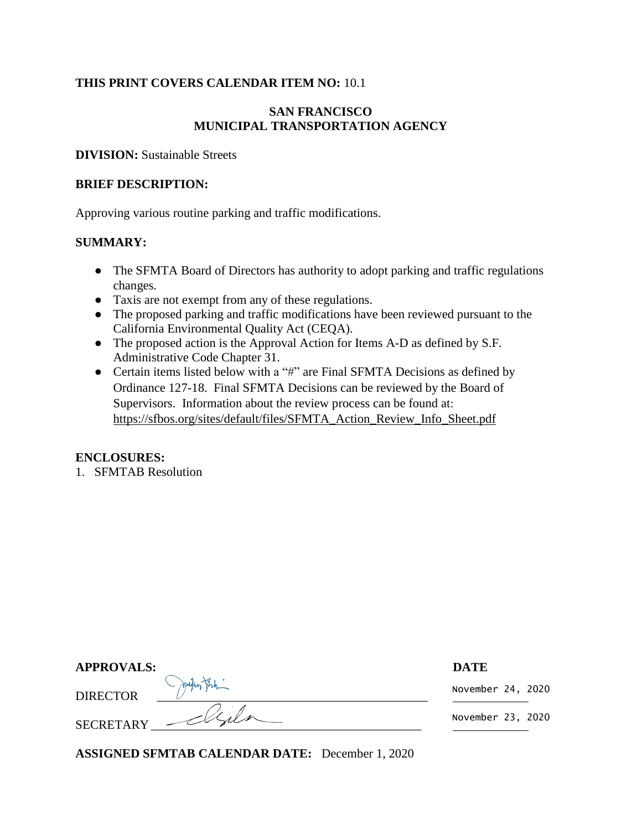### **THIS PRINT COVERS CALENDAR ITEM NO:** 10.1

### **SAN FRANCISCO MUNICIPAL TRANSPORTATION AGENCY**

**DIVISION:** Sustainable Streets

#### **BRIEF DESCRIPTION:**

Approving various routine parking and traffic modifications.

#### **SUMMARY:**

- The SFMTA Board of Directors has authority to adopt parking and traffic regulations changes.
- Taxis are not exempt from any of these regulations.
- The proposed parking and traffic modifications have been reviewed pursuant to the California Environmental Quality Act (CEQA).
- The proposed action is the Approval Action for Items A-D as defined by S.F. Administrative Code Chapter 31.
- Certain items listed below with a "#" are Final SFMTA Decisions as defined by [Ordinance 127-18.](https://sfbos.org/sites/default/files/o0127-18.pdf) Final SFMTA Decisions can be reviewed by the Board of Supervisors. Information about the review process can be found at: [https://sfbos.org/sites/default/files/SFMTA\\_Action\\_Review\\_Info\\_Sheet.pdf](https://sfbos.org/sites/default/files/SFMTA_Action_Review_Info_Sheet.pdf)

#### **ENCLOSURES:**

1. SFMTAB Resolution

| <b>APPROVALS:</b> |                   | <b>DATE</b>       |
|-------------------|-------------------|-------------------|
| <b>DIRECTOR</b>   | makey the         | November 24, 2020 |
|                   | SECRETARY - Elfer | November 23, 2020 |

**ASSIGNED SFMTAB CALENDAR DATE:** December 1, 2020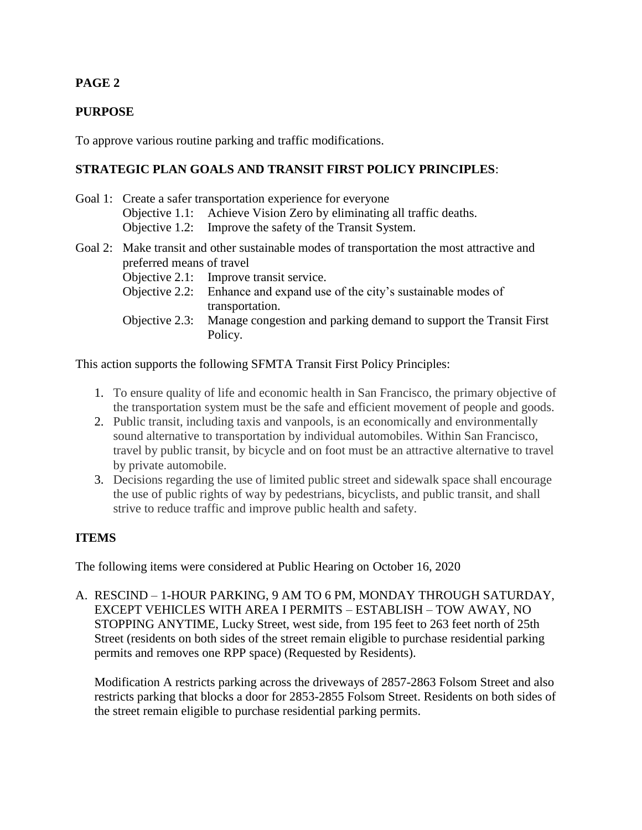# **PAGE 2**

## **PURPOSE**

To approve various routine parking and traffic modifications.

## **STRATEGIC PLAN GOALS AND TRANSIT FIRST POLICY PRINCIPLES**:

- Goal 1: Create a safer transportation experience for everyone Objective 1.1: Achieve Vision Zero by eliminating all traffic deaths. Objective 1.2: Improve the safety of the Transit System.
- Goal 2: Make transit and other sustainable modes of transportation the most attractive and preferred means of travel
	- Objective 2.1: Improve transit service.
	- Objective 2.2: Enhance and expand use of the city's sustainable modes of transportation.
	- Objective 2.3: Manage congestion and parking demand to support the Transit First Policy.

This action supports the following SFMTA Transit First Policy Principles:

- 1. To ensure quality of life and economic health in San Francisco, the primary objective of the transportation system must be the safe and efficient movement of people and goods.
- 2. Public transit, including taxis and vanpools, is an economically and environmentally sound alternative to transportation by individual automobiles. Within San Francisco, travel by public transit, by bicycle and on foot must be an attractive alternative to travel by private automobile.
- 3. Decisions regarding the use of limited public street and sidewalk space shall encourage the use of public rights of way by pedestrians, bicyclists, and public transit, and shall strive to reduce traffic and improve public health and safety.

## **ITEMS**

The following items were considered at Public Hearing on October 16, 2020

A. RESCIND – 1-HOUR PARKING, 9 AM TO 6 PM, MONDAY THROUGH SATURDAY, EXCEPT VEHICLES WITH AREA I PERMITS – ESTABLISH – TOW AWAY, NO STOPPING ANYTIME, Lucky Street, west side, from 195 feet to 263 feet north of 25th Street (residents on both sides of the street remain eligible to purchase residential parking permits and removes one RPP space) (Requested by Residents).

Modification A restricts parking across the driveways of 2857-2863 Folsom Street and also restricts parking that blocks a door for 2853-2855 Folsom Street. Residents on both sides of the street remain eligible to purchase residential parking permits.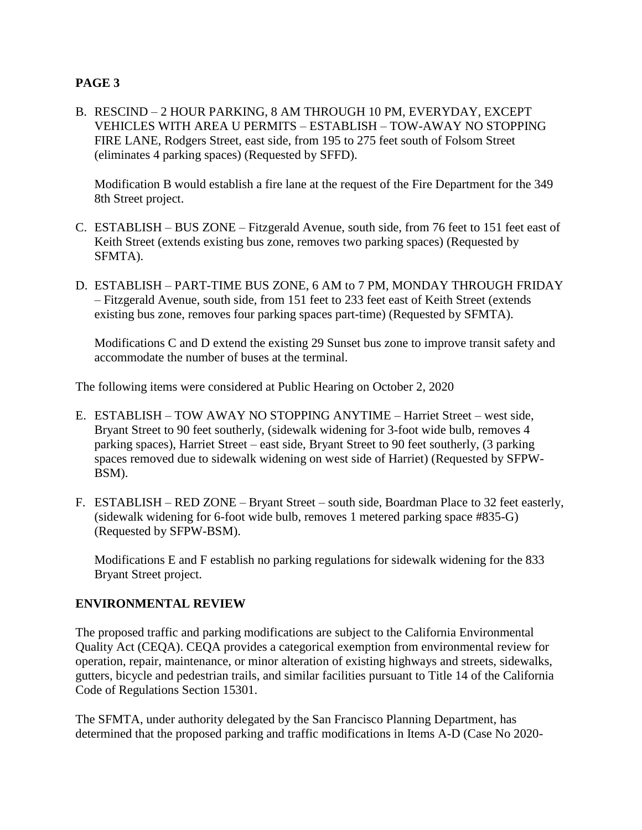## **PAGE 3**

B. RESCIND – 2 HOUR PARKING, 8 AM THROUGH 10 PM, EVERYDAY, EXCEPT VEHICLES WITH AREA U PERMITS – ESTABLISH – TOW-AWAY NO STOPPING FIRE LANE, Rodgers Street, east side, from 195 to 275 feet south of Folsom Street (eliminates 4 parking spaces) (Requested by SFFD).

Modification B would establish a fire lane at the request of the Fire Department for the 349 8th Street project.

- C. ESTABLISH BUS ZONE Fitzgerald Avenue, south side, from 76 feet to 151 feet east of Keith Street (extends existing bus zone, removes two parking spaces) (Requested by SFMTA).
- D. ESTABLISH PART-TIME BUS ZONE, 6 AM to 7 PM, MONDAY THROUGH FRIDAY – Fitzgerald Avenue, south side, from 151 feet to 233 feet east of Keith Street (extends existing bus zone, removes four parking spaces part-time) (Requested by SFMTA).

Modifications C and D extend the existing 29 Sunset bus zone to improve transit safety and accommodate the number of buses at the terminal.

The following items were considered at Public Hearing on October 2, 2020

- E. ESTABLISH TOW AWAY NO STOPPING ANYTIME Harriet Street west side, Bryant Street to 90 feet southerly, (sidewalk widening for 3-foot wide bulb, removes 4 parking spaces), Harriet Street – east side, Bryant Street to 90 feet southerly, (3 parking spaces removed due to sidewalk widening on west side of Harriet) (Requested by SFPW-BSM).
- F. ESTABLISH RED ZONE Bryant Street south side, Boardman Place to 32 feet easterly, (sidewalk widening for 6-foot wide bulb, removes 1 metered parking space #835-G) (Requested by SFPW-BSM).

Modifications E and F establish no parking regulations for sidewalk widening for the 833 Bryant Street project.

## **ENVIRONMENTAL REVIEW**

The proposed traffic and parking modifications are subject to the California Environmental Quality Act (CEQA). CEQA provides a categorical exemption from environmental review for operation, repair, maintenance, or minor alteration of existing highways and streets, sidewalks, gutters, bicycle and pedestrian trails, and similar facilities pursuant to Title 14 of the California Code of Regulations Section 15301.

The SFMTA, under authority delegated by the San Francisco Planning Department, has determined that the proposed parking and traffic modifications in Items A-D (Case No 2020-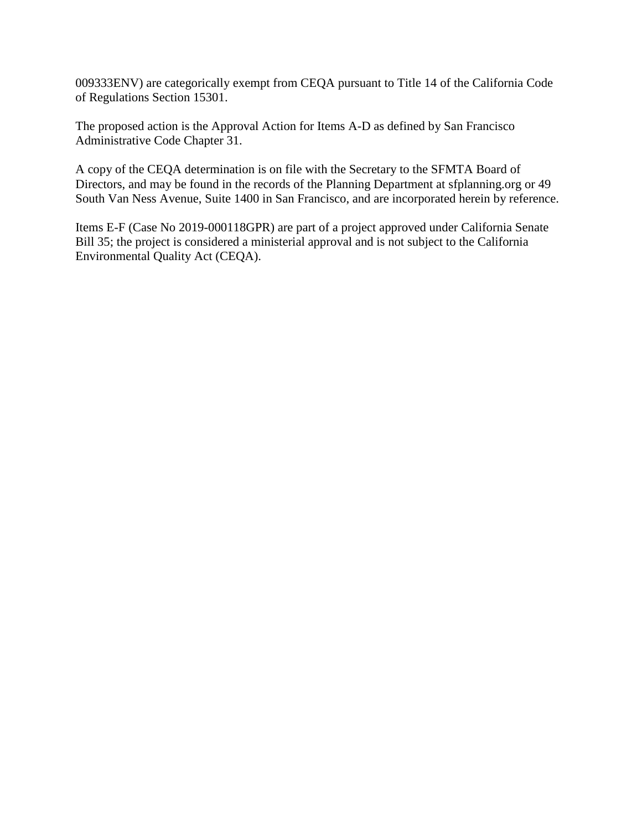009333ENV) are categorically exempt from CEQA pursuant to Title 14 of the California Code of Regulations Section 15301.

The proposed action is the Approval Action for Items A-D as defined by San Francisco Administrative Code Chapter 31.

A copy of the CEQA determination is on file with the Secretary to the SFMTA Board of Directors, and may be found in the records of the Planning Department at sfplanning.org or 49 South Van Ness Avenue, Suite 1400 in San Francisco, and are incorporated herein by reference.

Items E-F (Case No 2019-000118GPR) are part of a project approved under California Senate Bill 35; the project is considered a ministerial approval and is not subject to the California Environmental Quality Act (CEQA).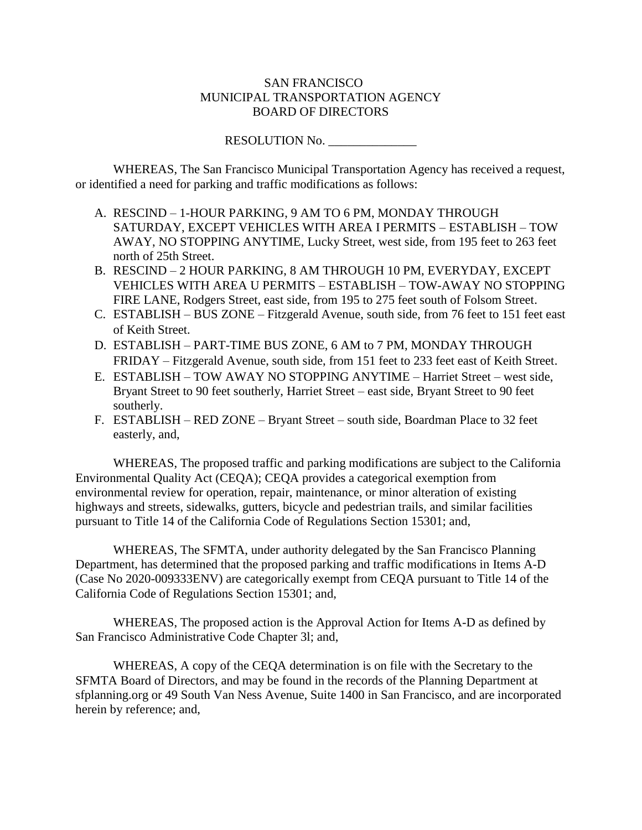#### SAN FRANCISCO MUNICIPAL TRANSPORTATION AGENCY BOARD OF DIRECTORS

RESOLUTION No. \_\_\_\_\_\_\_\_\_\_\_\_\_\_

WHEREAS, The San Francisco Municipal Transportation Agency has received a request, or identified a need for parking and traffic modifications as follows:

- A. RESCIND 1-HOUR PARKING, 9 AM TO 6 PM, MONDAY THROUGH SATURDAY, EXCEPT VEHICLES WITH AREA I PERMITS – ESTABLISH – TOW AWAY, NO STOPPING ANYTIME, Lucky Street, west side, from 195 feet to 263 feet north of 25th Street.
- B. RESCIND 2 HOUR PARKING, 8 AM THROUGH 10 PM, EVERYDAY, EXCEPT VEHICLES WITH AREA U PERMITS – ESTABLISH – TOW-AWAY NO STOPPING FIRE LANE, Rodgers Street, east side, from 195 to 275 feet south of Folsom Street.
- C. ESTABLISH BUS ZONE Fitzgerald Avenue, south side, from 76 feet to 151 feet east of Keith Street.
- D. ESTABLISH PART-TIME BUS ZONE, 6 AM to 7 PM, MONDAY THROUGH FRIDAY – Fitzgerald Avenue, south side, from 151 feet to 233 feet east of Keith Street.
- E. ESTABLISH TOW AWAY NO STOPPING ANYTIME Harriet Street west side, Bryant Street to 90 feet southerly, Harriet Street – east side, Bryant Street to 90 feet southerly.
- F. ESTABLISH RED ZONE Bryant Street south side, Boardman Place to 32 feet easterly, and,

WHEREAS, The proposed traffic and parking modifications are subject to the California Environmental Quality Act (CEQA); CEQA provides a categorical exemption from environmental review for operation, repair, maintenance, or minor alteration of existing highways and streets, sidewalks, gutters, bicycle and pedestrian trails, and similar facilities pursuant to Title 14 of the California Code of Regulations Section 15301; and,

WHEREAS, The SFMTA, under authority delegated by the San Francisco Planning Department, has determined that the proposed parking and traffic modifications in Items A-D (Case No 2020-009333ENV) are categorically exempt from CEQA pursuant to Title 14 of the California Code of Regulations Section 15301; and,

WHEREAS, The proposed action is the Approval Action for Items A-D as defined by San Francisco Administrative Code Chapter 3l; and,

WHEREAS, A copy of the CEQA determination is on file with the Secretary to the SFMTA Board of Directors, and may be found in the records of the Planning Department at sfplanning.org or 49 South Van Ness Avenue, Suite 1400 in San Francisco, and are incorporated herein by reference; and,